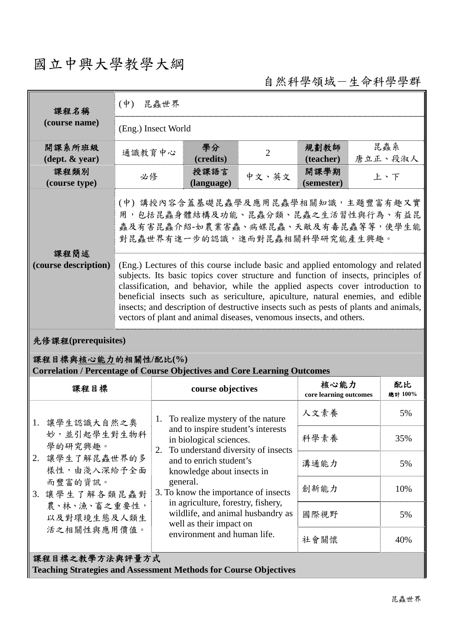# 國立中興大學教學大綱

自然科學領域-生命科學學群

| 課程名稱                                                                                                   | 昆蟲世界<br>$(\phi)$                                                                                                                                                                                                                                                                                                                                                                                                                                                                                        |                                                                                                                                                  |                                                       |                                |                    |               |                |  |  |
|--------------------------------------------------------------------------------------------------------|---------------------------------------------------------------------------------------------------------------------------------------------------------------------------------------------------------------------------------------------------------------------------------------------------------------------------------------------------------------------------------------------------------------------------------------------------------------------------------------------------------|--------------------------------------------------------------------------------------------------------------------------------------------------|-------------------------------------------------------|--------------------------------|--------------------|---------------|----------------|--|--|
| (course name)                                                                                          | (Eng.) Insect World                                                                                                                                                                                                                                                                                                                                                                                                                                                                                     |                                                                                                                                                  |                                                       |                                |                    |               |                |  |  |
| 開課系所班級<br>$(\text{dept.} \& \text{ year})$                                                             | 通識教育中心                                                                                                                                                                                                                                                                                                                                                                                                                                                                                                  |                                                                                                                                                  | 學分<br>(credits)                                       | $\overline{2}$                 | 規劃教師<br>(teacher)  |               | 昆蟲系<br>唐立正、段淑人 |  |  |
| 課程類別<br>(course type)                                                                                  | 必修                                                                                                                                                                                                                                                                                                                                                                                                                                                                                                      |                                                                                                                                                  | 授課語言<br>(language)                                    | 中文、英文                          | 開課學期<br>(semester) | 上、下           |                |  |  |
| 課程簡述                                                                                                   | (中)講授內容含蓋基礎昆蟲學及應用昆蟲學相關知識,主題豐富有趣又實<br>用,包括昆蟲身體結構及功能、昆蟲分類、昆蟲之生活習性與行為、有益昆<br>蟲及有害昆蟲介紹-如農業害蟲、病媒昆蟲、天敵及有毒昆蟲等等,使學生能<br>對昆蟲世界有進一步的認識,進而對昆蟲相關科學研究能產生興趣。                                                                                                                                                                                                                                                                                                                                                          |                                                                                                                                                  |                                                       |                                |                    |               |                |  |  |
| (course description)                                                                                   | (Eng.) Lectures of this course include basic and applied entomology and related<br>subjects. Its basic topics cover structure and function of insects, principles of<br>classification, and behavior, while the applied aspects cover introduction to<br>beneficial insects such as sericulture, apiculture, natural enemies, and edible<br>insects; and description of destructive insects such as pests of plants and animals,<br>vectors of plant and animal diseases, venomous insects, and others. |                                                                                                                                                  |                                                       |                                |                    |               |                |  |  |
| 先修課程(prerequisites)                                                                                    |                                                                                                                                                                                                                                                                                                                                                                                                                                                                                                         |                                                                                                                                                  |                                                       |                                |                    |               |                |  |  |
| 課程目標與核心能力的相關性/配比(%)<br><b>Correlation / Percentage of Course Objectives and Core Learning Outcomes</b> |                                                                                                                                                                                                                                                                                                                                                                                                                                                                                                         |                                                                                                                                                  |                                                       |                                |                    |               |                |  |  |
| 課程目標                                                                                                   |                                                                                                                                                                                                                                                                                                                                                                                                                                                                                                         | course objectives                                                                                                                                |                                                       | 核心能力<br>core learning outcomes |                    | 配比<br>總計 100% |                |  |  |
| 1. 讓學生認識大自然之奧<br>妙,並引起學生對生物科<br>學的研究興趣。                                                                |                                                                                                                                                                                                                                                                                                                                                                                                                                                                                                         | 1. To realize mystery of the nature<br>and to inspire student's interests<br>in biological sciences.<br>To understand diversity of insects<br>2. |                                                       |                                | 人文素養               |               | 5%             |  |  |
|                                                                                                        |                                                                                                                                                                                                                                                                                                                                                                                                                                                                                                         |                                                                                                                                                  |                                                       |                                | 科學素養               |               | 35%            |  |  |
| 2. 讓學生了解昆蟲世界的多<br>樣性,由淺入深給予全面                                                                          |                                                                                                                                                                                                                                                                                                                                                                                                                                                                                                         |                                                                                                                                                  | and to enrich student's<br>knowledge about insects in |                                | 溝通能力               |               | 5%             |  |  |
| 而豐富的資訊。<br>3. 讓學生了解各類昆蟲對<br>農、林、漁、畜之重要性,<br>以及對環境生態及人類生                                                |                                                                                                                                                                                                                                                                                                                                                                                                                                                                                                         | general.<br>3. To know the importance of insects                                                                                                 |                                                       |                                | 創新能力               |               | 10%            |  |  |
|                                                                                                        |                                                                                                                                                                                                                                                                                                                                                                                                                                                                                                         | in agriculture, forestry, fishery,<br>wildlife, and animal husbandry as<br>well as their impact on                                               | 國際視野                                                  |                                | 5%                 |               |                |  |  |
| 活之相關性與應用價值。                                                                                            |                                                                                                                                                                                                                                                                                                                                                                                                                                                                                                         |                                                                                                                                                  | environment and human life.                           |                                | 社會關懷               |               | 40%            |  |  |
| 課程目標之教學方法與評量方式<br><b>Teaching Strategies and Assessment Methods for Course Objectives</b>              |                                                                                                                                                                                                                                                                                                                                                                                                                                                                                                         |                                                                                                                                                  |                                                       |                                |                    |               |                |  |  |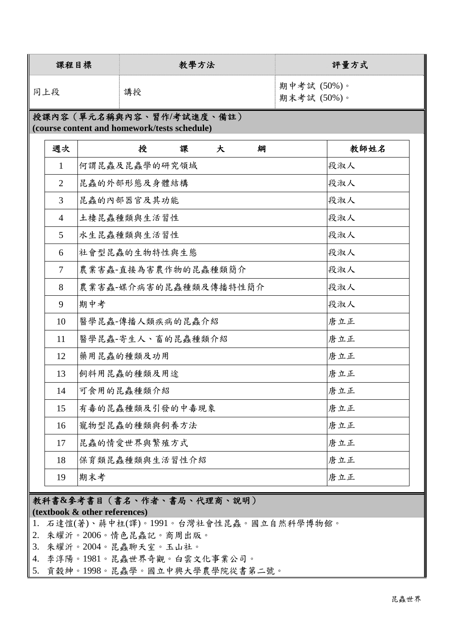| 課程目標 | 教學方法 | 評量方式                       |
|------|------|----------------------------|
| 同上段  | 講授   | 期中考試 (50%)。<br>期末考試 (50%)。 |

### 授課內容(單元名稱與內容、習作**/**考試進度、備註) **(course content and homework/tests schedule)**

| 週次             | 授<br>課<br>大<br>綱      | 教師姓名 |
|----------------|-----------------------|------|
| $\mathbf{1}$   | 何謂昆蟲及昆蟲學的研究領域         | 段淑人  |
| 2              | 昆蟲的外部形態及身體結構          | 段淑人  |
| 3              | 昆蟲的內部器官及其功能           | 段淑人  |
| $\overline{4}$ | 土棲昆蟲種類與生活習性           | 段淑人  |
| 5 <sup>5</sup> | 水生昆蟲種類與生活習性           | 段淑人  |
| 6              | 社會型昆蟲的生物特性與生態         | 段淑人  |
| $\tau$         | 農業害蟲-直接為害農作物的昆蟲種類簡介   | 段淑人  |
| 8              | 農業害蟲-媒介病害的昆蟲種類及傳播特性簡介 | 段淑人  |
| 9              | 期中考                   | 段淑人  |
| 10             | 醫學昆蟲-傳播人類疾病的昆蟲介紹      | 唐立正  |
| 11             | 醫學昆蟲-寄生人、畜的昆蟲種類介紹     | 唐立正  |
| 12             | 藥用昆蟲的種類及功用            | 唐立正  |
| 13             | 飼料用昆蟲的種類及用途           | 唐立正  |
| 14             | 可食用的昆蟲種類介紹            | 唐立正  |
| 15             | 有毒的昆蟲種類及引發的中毒現象       | 唐立正  |
| 16             | 寵物型昆蟲的種類與飼養方法         | 唐立正  |
| 17             | 昆蟲的情愛世界與繁殖方式          | 唐立正  |
| 18             | 保育類昆蟲種類與生活習性介紹        | 唐立正  |
| 19             | 期末考                   | 唐立正  |

## 教科書**&**參考書目(書名、作者、書局、代理商、說明)

#### **(textbook & other references)**

- 1. 石達愷(著)、蔣中柱(譯)。1991。台灣社會性昆蟲。國立自然科學博物館。
- 2. 朱耀沂。2006。情色昆蟲記。商周出版。
- 3. 朱耀沂。2004。昆蟲聊天室。玉山社。
- 4. 李淳陽。1981。昆蟲世界奇觀。白雲文化事業公司。
- 5. 貢榖紳。1998。昆蟲學。國立中興大學農學院從書第二號。